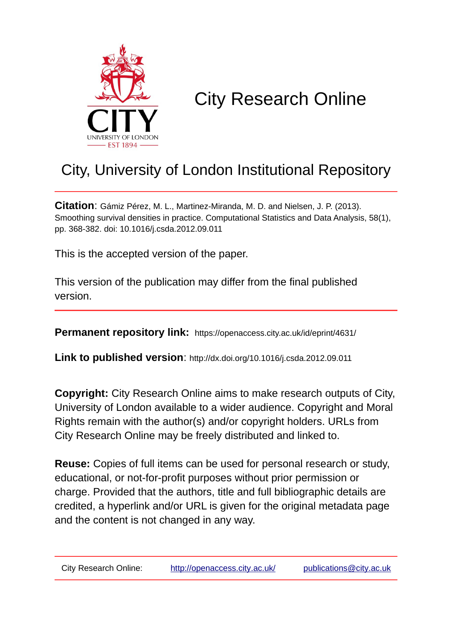

# City Research Online

## City, University of London Institutional Repository

**Citation**: Gámiz Pérez, M. L., Martinez-Miranda, M. D. and Nielsen, J. P. (2013). Smoothing survival densities in practice. Computational Statistics and Data Analysis, 58(1), pp. 368-382. doi: 10.1016/j.csda.2012.09.011

This is the accepted version of the paper.

This version of the publication may differ from the final published version.

**Permanent repository link:** https://openaccess.city.ac.uk/id/eprint/4631/

**Link to published version**: http://dx.doi.org/10.1016/j.csda.2012.09.011

**Copyright:** City Research Online aims to make research outputs of City, University of London available to a wider audience. Copyright and Moral Rights remain with the author(s) and/or copyright holders. URLs from City Research Online may be freely distributed and linked to.

**Reuse:** Copies of full items can be used for personal research or study, educational, or not-for-profit purposes without prior permission or charge. Provided that the authors, title and full bibliographic details are credited, a hyperlink and/or URL is given for the original metadata page and the content is not changed in any way.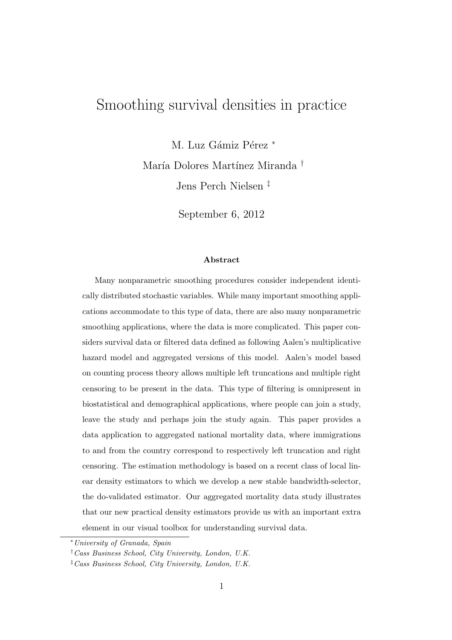## Smoothing survival densities in practice

M. Luz Gámiz Pérez \* María Dolores Martínez Miranda † Jens Perch Nielsen ‡

September 6, 2012

#### Abstract

Many nonparametric smoothing procedures consider independent identically distributed stochastic variables. While many important smoothing applications accommodate to this type of data, there are also many nonparametric smoothing applications, where the data is more complicated. This paper considers survival data or filtered data defined as following Aalen's multiplicative hazard model and aggregated versions of this model. Aalen's model based on counting process theory allows multiple left truncations and multiple right censoring to be present in the data. This type of filtering is omnipresent in biostatistical and demographical applications, where people can join a study, leave the study and perhaps join the study again. This paper provides a data application to aggregated national mortality data, where immigrations to and from the country correspond to respectively left truncation and right censoring. The estimation methodology is based on a recent class of local linear density estimators to which we develop a new stable bandwidth-selector, the do-validated estimator. Our aggregated mortality data study illustrates that our new practical density estimators provide us with an important extra element in our visual toolbox for understanding survival data.

<sup>∗</sup>University of Granada, Spain

<sup>†</sup>Cass Business School, City University, London, U.K.

<sup>‡</sup>Cass Business School, City University, London, U.K.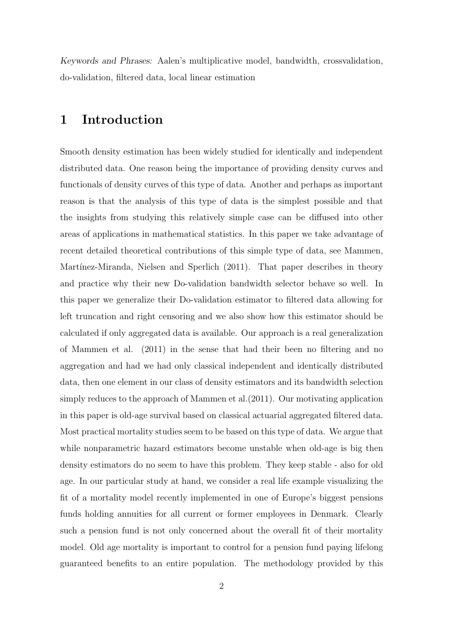Keywords and Phrases: Aalen's multiplicative model, bandwidth, crossvalidation, do-validation, filtered data, local linear estimation

## 1 Introduction

Smooth density estimation has been widely studied for identically and independent distributed data. One reason being the importance of providing density curves and functionals of density curves of this type of data. Another and perhaps as important reason is that the analysis of this type of data is the simplest possible and that the insights from studying this relatively simple case can be diffused into other areas of applications in mathematical statistics. In this paper we take advantage of recent detailed theoretical contributions of this simple type of data, see Mammen, Martínez-Miranda, Nielsen and Sperlich (2011). That paper describes in theory and practice why their new Do-validation bandwidth selector behave so well. In this paper we generalize their Do-validation estimator to filtered data allowing for left truncation and right censoring and we also show how this estimator should be calculated if only aggregated data is available. Our approach is a real generalization of Mammen et al. (2011) in the sense that had their been no filtering and no aggregation and had we had only classical independent and identically distributed data, then one element in our class of density estimators and its bandwidth selection simply reduces to the approach of Mammen et al.(2011). Our motivating application in this paper is old-age survival based on classical actuarial aggregated filtered data. Most practical mortality studies seem to be based on this type of data. We argue that while nonparametric hazard estimators become unstable when old-age is big then density estimators do no seem to have this problem. They keep stable - also for old age. In our particular study at hand, we consider a real life example visualizing the fit of a mortality model recently implemented in one of Europe's biggest pensions funds holding annuities for all current or former employees in Denmark. Clearly such a pension fund is not only concerned about the overall fit of their mortality model. Old age mortality is important to control for a pension fund paying lifelong guaranteed benefits to an entire population. The methodology provided by this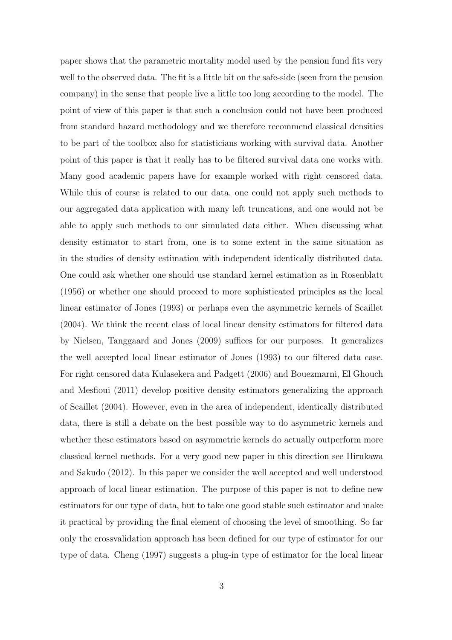paper shows that the parametric mortality model used by the pension fund fits very well to the observed data. The fit is a little bit on the safe-side (seen from the pension company) in the sense that people live a little too long according to the model. The point of view of this paper is that such a conclusion could not have been produced from standard hazard methodology and we therefore recommend classical densities to be part of the toolbox also for statisticians working with survival data. Another point of this paper is that it really has to be filtered survival data one works with. Many good academic papers have for example worked with right censored data. While this of course is related to our data, one could not apply such methods to our aggregated data application with many left truncations, and one would not be able to apply such methods to our simulated data either. When discussing what density estimator to start from, one is to some extent in the same situation as in the studies of density estimation with independent identically distributed data. One could ask whether one should use standard kernel estimation as in Rosenblatt (1956) or whether one should proceed to more sophisticated principles as the local linear estimator of Jones (1993) or perhaps even the asymmetric kernels of Scaillet (2004). We think the recent class of local linear density estimators for filtered data by Nielsen, Tanggaard and Jones (2009) suffices for our purposes. It generalizes the well accepted local linear estimator of Jones (1993) to our filtered data case. For right censored data Kulasekera and Padgett (2006) and Bouezmarni, El Ghouch and Mesfioui (2011) develop positive density estimators generalizing the approach of Scaillet (2004). However, even in the area of independent, identically distributed data, there is still a debate on the best possible way to do asymmetric kernels and whether these estimators based on asymmetric kernels do actually outperform more classical kernel methods. For a very good new paper in this direction see Hirukawa and Sakudo (2012). In this paper we consider the well accepted and well understood approach of local linear estimation. The purpose of this paper is not to define new estimators for our type of data, but to take one good stable such estimator and make it practical by providing the final element of choosing the level of smoothing. So far only the crossvalidation approach has been defined for our type of estimator for our type of data. Cheng (1997) suggests a plug-in type of estimator for the local linear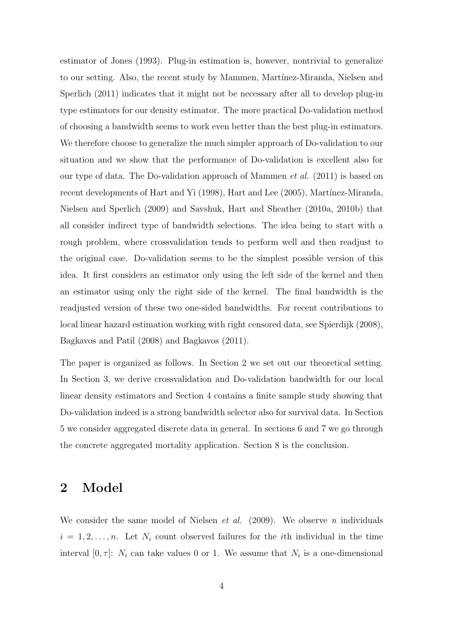estimator of Jones (1993). Plug-in estimation is, however, nontrivial to generalize to our setting. Also, the recent study by Mammen, Martínez-Miranda, Nielsen and Sperlich (2011) indicates that it might not be necessary after all to develop plug-in type estimators for our density estimator. The more practical Do-validation method of choosing a bandwidth seems to work even better than the best plug-in estimators. We therefore choose to generalize the much simpler approach of Do-validation to our situation and we show that the performance of Do-validation is excellent also for our type of data. The Do-validation approach of Mammen *et al.* (2011) is based on recent developments of Hart and Yi (1998), Hart and Lee (2005), Martínez-Miranda, Nielsen and Sperlich (2009) and Savshuk, Hart and Sheather (2010a, 2010b) that all consider indirect type of bandwidth selections. The idea being to start with a rough problem, where crossvalidation tends to perform well and then readjust to the original case. Do-validation seems to be the simplest possible version of this idea. It first considers an estimator only using the left side of the kernel and then an estimator using only the right side of the kernel. The final bandwidth is the readjusted version of these two one-sided bandwidths. For recent contributions to local linear hazard estimation working with right censored data, see Spierdijk (2008), Bagkavos and Patil (2008) and Bagkavos (2011).

The paper is organized as follows. In Section 2 we set out our theoretical setting. In Section 3, we derive crossvalidation and Do-validation bandwidth for our local linear density estimators and Section 4 contains a finite sample study showing that Do-validation indeed is a strong bandwidth selector also for survival data. In Section 5 we consider aggregated discrete data in general. In sections 6 and 7 we go through the concrete aggregated mortality application. Section 8 is the conclusion.

## 2 Model

We consider the same model of Nielsen *et al.* (2009). We observe *n* individuals  $i = 1, 2, \ldots, n$ . Let  $N_i$  count observed failures for the *i*th individual in the time interval  $[0, \tau]$ :  $N_i$  can take values 0 or 1. We assume that  $N_i$  is a one-dimensional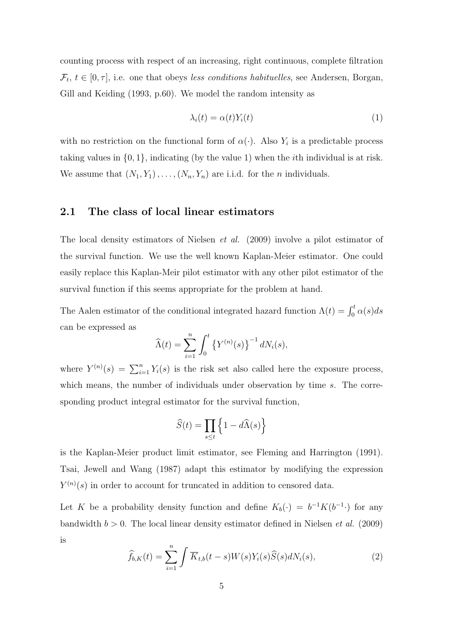counting process with respect of an increasing, right continuous, complete filtration  $\mathcal{F}_t, t \in [0, \tau],$  i.e. one that obeys *less conditions habituelles*, see Andersen, Borgan, Gill and Keiding (1993, p.60). We model the random intensity as

$$
\lambda_i(t) = \alpha(t) Y_i(t) \tag{1}
$$

with no restriction on the functional form of  $\alpha(\cdot)$ . Also  $Y_i$  is a predictable process taking values in  $\{0, 1\}$ , indicating (by the value 1) when the *i*th individual is at risk. We assume that  $(N_1, Y_1), \ldots, (N_n, Y_n)$  are i.i.d. for the *n* individuals.

#### 2.1 The class of local linear estimators

The local density estimators of Nielsen *et al.* (2009) involve a pilot estimator of the survival function. We use the well known Kaplan-Meier estimator. One could easily replace this Kaplan-Meir pilot estimator with any other pilot estimator of the survival function if this seems appropriate for the problem at hand.

The Aalen estimator of the conditional integrated hazard function  $\Lambda(t) = \int_0^t \alpha(s) ds$ can be expressed as

$$
\widehat{\Lambda}(t) = \sum_{i=1}^{n} \int_{0}^{t} \left\{ Y^{(n)}(s) \right\}^{-1} dN_{i}(s),
$$

where  $Y^{(n)}(s) = \sum_{i=1}^{n} Y_i(s)$  is the risk set also called here the exposure process, which means, the number of individuals under observation by time s. The corresponding product integral estimator for the survival function,

$$
\widehat{S}(t) = \prod_{s \le t} \left\{ 1 - d\widehat{\Lambda}(s) \right\}
$$

is the Kaplan-Meier product limit estimator, see Fleming and Harrington (1991). Tsai, Jewell and Wang (1987) adapt this estimator by modifying the expression  $Y^{(n)}(s)$  in order to account for truncated in addition to censored data.

Let K be a probability density function and define  $K_b(\cdot) = b^{-1}K(b^{-1} \cdot)$  for any bandwidth  $b > 0$ . The local linear density estimator defined in Nielsen *et al.* (2009) is

$$
\widehat{f}_{b,K}(t) = \sum_{i=1}^{n} \int \overline{K}_{t,b}(t-s)W(s)Y_i(s)\widehat{S}(s)dN_i(s),\tag{2}
$$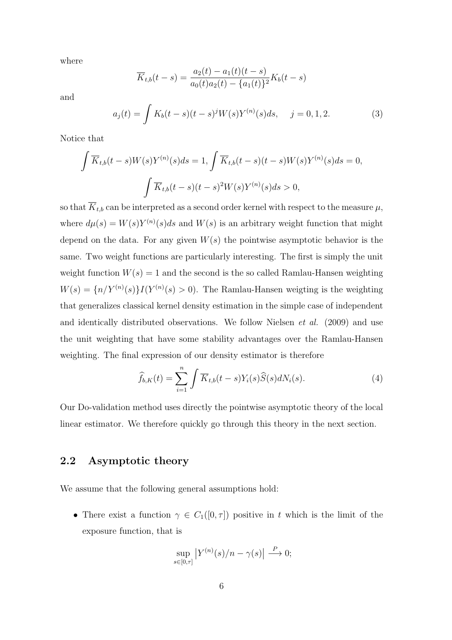where

$$
\overline{K}_{t,b}(t-s) = \frac{a_2(t) - a_1(t)(t-s)}{a_0(t)a_2(t) - \{a_1(t)\}^2}K_b(t-s)
$$

and

$$
a_j(t) = \int K_b(t-s)(t-s)^j W(s)Y^{(n)}(s)ds, \quad j = 0, 1, 2. \tag{3}
$$

Notice that

$$
\int \overline{K}_{t,b}(t-s)W(s)Y^{(n)}(s)ds = 1, \int \overline{K}_{t,b}(t-s)(t-s)W(s)Y^{(n)}(s)ds = 0,
$$

$$
\int \overline{K}_{t,b}(t-s)(t-s)^2W(s)Y^{(n)}(s)ds > 0,
$$

so that  $\overline{K}_{t,b}$  can be interpreted as a second order kernel with respect to the measure  $\mu$ , where  $d\mu(s) = W(s)Y^{(n)}(s)ds$  and  $W(s)$  is an arbitrary weight function that might depend on the data. For any given  $W(s)$  the pointwise asymptotic behavior is the same. Two weight functions are particularly interesting. The first is simply the unit weight function  $W(s) = 1$  and the second is the so called Ramlau-Hansen weighting  $W(s) = \{n/Y^{(n)}(s)\}I(Y^{(n)}(s) > 0)$ . The Ramlau-Hansen weigting is the weighting that generalizes classical kernel density estimation in the simple case of independent and identically distributed observations. We follow Nielsen *et al.* (2009) and use the unit weighting that have some stability advantages over the Ramlau-Hansen weighting. The final expression of our density estimator is therefore

$$
\widehat{f}_{b,K}(t) = \sum_{i=1}^{n} \int \overline{K}_{t,b}(t-s)Y_i(s)\widehat{S}(s)dN_i(s).
$$
\n(4)

Our Do-validation method uses directly the pointwise asymptotic theory of the local linear estimator. We therefore quickly go through this theory in the next section.

#### 2.2 Asymptotic theory

We assume that the following general assumptions hold:

• There exist a function  $\gamma \in C_1([0,\tau])$  positive in t which is the limit of the exposure function, that is

$$
\sup_{s\in[0,\tau]}|Y^{(n)}(s)/n-\gamma(s)| \stackrel{P}{\longrightarrow} 0;
$$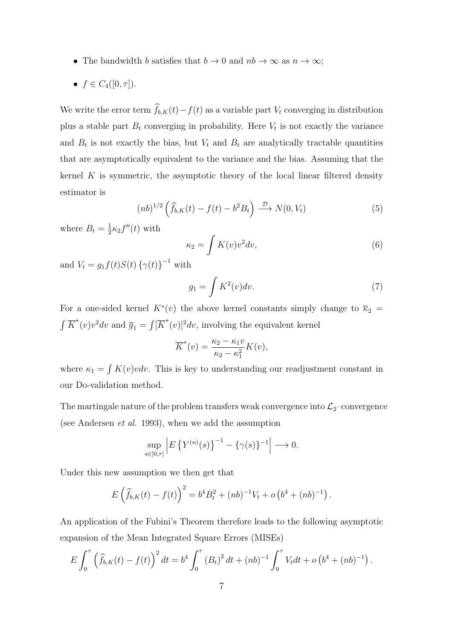- The bandwidth b satisfies that  $b \to 0$  and  $nb \to \infty$  as  $n \to \infty$ ;
- $f \in C_4([0, \tau]).$

We write the error term  $\widehat{f}_{b,K}(t)-f(t)$  as a variable part  $V_t$  converging in distribution plus a stable part  $B_t$  converging in probability. Here  $V_t$  is not exactly the variance and  $B_t$  is not exactly the bias, but  $V_t$  and  $B_t$  are analytically tractable quantities that are asymptotically equivalent to the variance and the bias. Assuming that the kernel  $K$  is symmetric, the asymptotic theory of the local linear filtered density estimator is

$$
(nb)^{1/2} \left(\widehat{f}_{b,K}(t) - f(t) - b^2 B_t\right) \xrightarrow{\mathcal{D}} N(0, V_t)
$$
\n
$$
(5)
$$

where  $B_t = \frac{1}{2}$  $\frac{1}{2}\kappa_2 f''(t)$  with

$$
\kappa_2 = \int K(v)v^2 dv,\tag{6}
$$

and  $V_t = g_1 f(t) S(t) \{ \gamma(t) \}^{-1}$  with

$$
g_1 = \int K^2(v)dv.
$$
 (7)

For a one-sided kernel  $K^*(v)$  the above kernel constants simply change to  $\overline{\kappa}_2$  =  $\int \overline{K}^*(v)v^2 dv$  and  $\overline{g}_1 = \int [\overline{K}^*(v)]^2 dv$ , involving the equivalent kernel

$$
\overline{K}^*(v) = \frac{\kappa_2 - \kappa_1 v}{\kappa_2 - \kappa_1^2} K(v),
$$

where  $\kappa_1 = \int K(v)v dv$ . This is key to understanding our readjustment constant in our Do-validation method.

The martingale nature of the problem transfers weak convergence into  $\mathcal{L}_2$ –convergence (see Andersen *et al.* 1993), when we add the assumption

$$
\sup_{s \in [0,\tau]} \left| E \left\{ Y^{(n)}(s) \right\}^{-1} - \left\{ \gamma(s) \right\}^{-1} \right| \longrightarrow 0.
$$

Under this new assumption we then get that

$$
E\left(\widehat{f}_{b,K}(t) - f(t)\right)^2 = b^4 B_t^2 + (nb)^{-1} V_t + o\left(b^4 + (nb)^{-1}\right).
$$

An application of the Fubini's Theorem therefore leads to the following asymptotic expansion of the Mean Integrated Square Errors (MISEs)

$$
E\int_0^{\tau} \left(\hat{f}_{b,K}(t) - f(t)\right)^2 dt = b^4 \int_0^{\tau} (B_t)^2 dt + (nb)^{-1} \int_0^{\tau} V_t dt + o\left(b^4 + (nb)^{-1}\right).
$$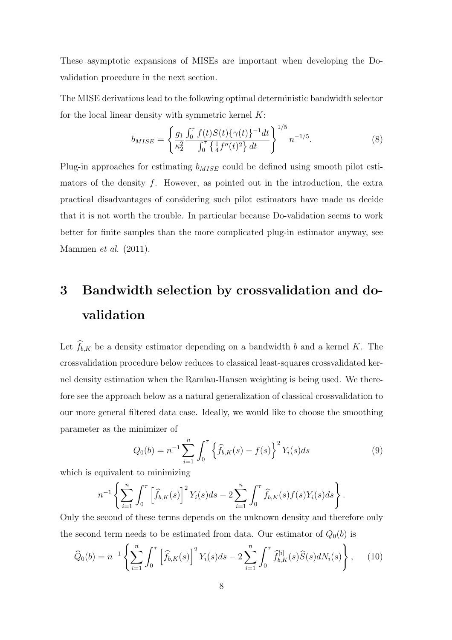These asymptotic expansions of MISEs are important when developing the Dovalidation procedure in the next section.

The MISE derivations lead to the following optimal deterministic bandwidth selector for the local linear density with symmetric kernel  $K$ :

$$
b_{MISE} = \left\{ \frac{g_1}{\kappa_2^2} \frac{\int_0^{\tau} f(t)S(t)\{\gamma(t)\}^{-1}dt}{\int_0^{\tau} \left\{ \frac{1}{4}f''(t)^2 \right\} dt} \right\}^{1/5} n^{-1/5}.
$$
 (8)

Plug-in approaches for estimating  $b_{MISE}$  could be defined using smooth pilot estimators of the density  $f$ . However, as pointed out in the introduction, the extra practical disadvantages of considering such pilot estimators have made us decide that it is not worth the trouble. In particular because Do-validation seems to work better for finite samples than the more complicated plug-in estimator anyway, see Mammen *et al.* (2011).

## 3 Bandwidth selection by crossvalidation and dovalidation

Let  $\widehat{f}_{b,K}$  be a density estimator depending on a bandwidth b and a kernel K. The crossvalidation procedure below reduces to classical least-squares crossvalidated kernel density estimation when the Ramlau-Hansen weighting is being used. We therefore see the approach below as a natural generalization of classical crossvalidation to our more general filtered data case. Ideally, we would like to choose the smoothing parameter as the minimizer of

$$
Q_0(b) = n^{-1} \sum_{i=1}^n \int_0^\tau \left\{ \widehat{f}_{b,K}(s) - f(s) \right\}^2 Y_i(s) ds \tag{9}
$$

which is equivalent to minimizing

$$
n^{-1} \left\{ \sum_{i=1}^{n} \int_{0}^{\tau} \left[ \widehat{f}_{b,K}(s) \right]^2 Y_i(s) ds - 2 \sum_{i=1}^{n} \int_{0}^{\tau} \widehat{f}_{b,K}(s) f(s) Y_i(s) ds \right\}.
$$

Only the second of these terms depends on the unknown density and therefore only the second term needs to be estimated from data. Our estimator of  $Q_0(b)$  is

$$
\widehat{Q}_0(b) = n^{-1} \left\{ \sum_{i=1}^n \int_0^\tau \left[ \widehat{f}_{b,K}(s) \right]^2 Y_i(s) ds - 2 \sum_{i=1}^n \int_0^\tau \widehat{f}_{b,K}^{[i]}(s) \widehat{S}(s) dN_i(s) \right\}, \tag{10}
$$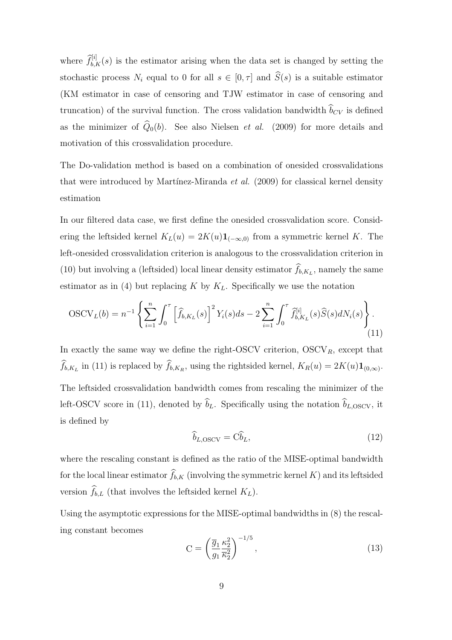where  $\hat{f}_{b,K}^{[i]}(s)$  is the estimator arising when the data set is changed by setting the stochastic process  $N_i$  equal to 0 for all  $s \in [0, \tau]$  and  $\widehat{S}(s)$  is a suitable estimator (KM estimator in case of censoring and TJW estimator in case of censoring and truncation) of the survival function. The cross validation bandwidth  $\widehat{b}_{CV}$  is defined as the minimizer of  $\hat{Q}_0(b)$ . See also Nielsen *et al.* (2009) for more details and motivation of this crossvalidation procedure.

The Do-validation method is based on a combination of onesided crossvalidations that were introduced by Martínez-Miranda *et al.* (2009) for classical kernel density estimation

In our filtered data case, we first define the onesided crossvalidation score. Considering the leftsided kernel  $K_L(u) = 2K(u) \mathbf{1}_{(-\infty,0)}$  from a symmetric kernel K. The left-onesided crossvalidation criterion is analogous to the crossvalidation criterion in (10) but involving a (leftsided) local linear density estimator  $f_{b,K_L}$ , namely the same estimator as in (4) but replacing K by  $K_L$ . Specifically we use the notation

$$
OSCV_L(b) = n^{-1} \left\{ \sum_{i=1}^n \int_0^\tau \left[ \widehat{f}_{b,K_L}(s) \right]^2 Y_i(s) ds - 2 \sum_{i=1}^n \int_0^\tau \widehat{f}_{b,K_L}^{[i]}(s) \widehat{S}(s) dN_i(s) \right\}.
$$
\n(11)

In exactly the same way we define the right-OSCV criterion,  $OSCV_R$ , except that  $f_{b,K_L}$  in (11) is replaced by  $f_{b,K_R}$ , using the rightsided kernel,  $K_R(u) = 2K(u)\mathbf{1}_{(0,\infty)}$ . The leftsided crossvalidation bandwidth comes from rescaling the minimizer of the left-OSCV score in (11), denoted by  $\hat{b}_L$ . Specifically using the notation  $\hat{b}_{L,OSCV}$ , it is defined by

$$
\widehat{b}_{L,\text{OSCV}} = \widehat{\text{Cb}}_L,\tag{12}
$$

where the rescaling constant is defined as the ratio of the MISE-optimal bandwidth for the local linear estimator  $\widehat{f}_{b,K}$  (involving the symmetric kernel K) and its leftsided version  $\widehat{f}_{b,L}$  (that involves the leftsided kernel  $K_L$ ).

Using the asymptotic expressions for the MISE-optimal bandwidths in (8) the rescaling constant becomes

$$
C = \left(\frac{\overline{g}_1}{g_1}\frac{\kappa_2^2}{\overline{\kappa}_2^2}\right)^{-1/5},\tag{13}
$$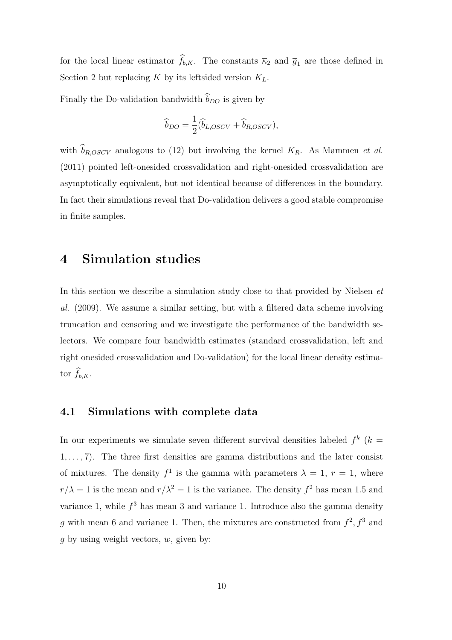for the local linear estimator  $\widehat{f}_{b,K}$ . The constants  $\overline{\kappa}_2$  and  $\overline{g}_1$  are those defined in Section 2 but replacing  $K$  by its leftsided version  $K_L$ .

Finally the Do-validation bandwidth  $\widehat{b}_{DO}$  is given by

$$
\widehat{b}_{DO} = \frac{1}{2} (\widehat{b}_{L,OSCV} + \widehat{b}_{R,OSCV}),
$$

with  $\widehat{b}_{R,OSCV}$  analogous to (12) but involving the kernel  $K_R$ . As Mammen *et al.* (2011) pointed left-onesided crossvalidation and right-onesided crossvalidation are asymptotically equivalent, but not identical because of differences in the boundary. In fact their simulations reveal that Do-validation delivers a good stable compromise in finite samples.

### 4 Simulation studies

In this section we describe a simulation study close to that provided by Nielsen *et al.* (2009). We assume a similar setting, but with a filtered data scheme involving truncation and censoring and we investigate the performance of the bandwidth selectors. We compare four bandwidth estimates (standard crossvalidation, left and right onesided crossvalidation and Do-validation) for the local linear density estimator  $\widehat{f}_{b,K}$ .

#### 4.1 Simulations with complete data

In our experiments we simulate seven different survival densities labeled  $f^k$  ( $k =$  $1, \ldots, 7$ . The three first densities are gamma distributions and the later consist of mixtures. The density  $f^1$  is the gamma with parameters  $\lambda = 1, r = 1$ , where  $r/\lambda = 1$  is the mean and  $r/\lambda^2 = 1$  is the variance. The density  $f^2$  has mean 1.5 and variance 1, while  $f^3$  has mean 3 and variance 1. Introduce also the gamma density g with mean 6 and variance 1. Then, the mixtures are constructed from  $f^2$ ,  $f^3$  and q by using weight vectors,  $w$ , given by: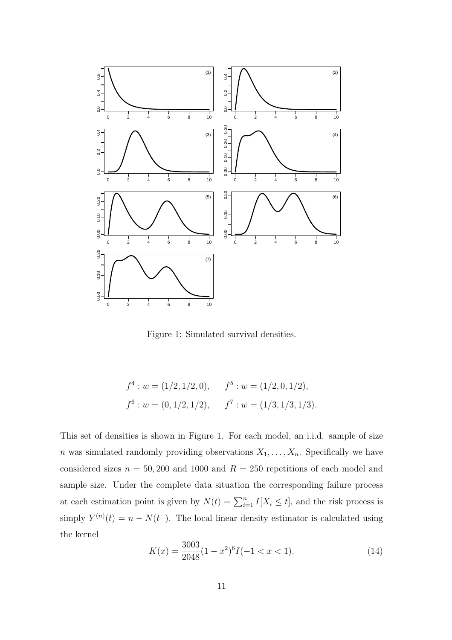

Figure 1: Simulated survival densities.

$$
f^4: w = (1/2, 1/2, 0),
$$
  $f^5: w = (1/2, 0, 1/2),$   
 $f^6: w = (0, 1/2, 1/2),$   $f^7: w = (1/3, 1/3, 1/3).$ 

This set of densities is shown in Figure 1. For each model, an i.i.d. sample of size n was simulated randomly providing observations  $X_1, \ldots, X_n$ . Specifically we have considered sizes  $n = 50,200$  and 1000 and  $R = 250$  repetitions of each model and sample size. Under the complete data situation the corresponding failure process at each estimation point is given by  $N(t) = \sum_{i=1}^{n} I[X_i \leq t]$ , and the risk process is simply  $Y^{(n)}(t) = n - N(t^{-})$ . The local linear density estimator is calculated using the kernel

$$
K(x) = \frac{3003}{2048} (1 - x^2)^6 I(-1 < x < 1). \tag{14}
$$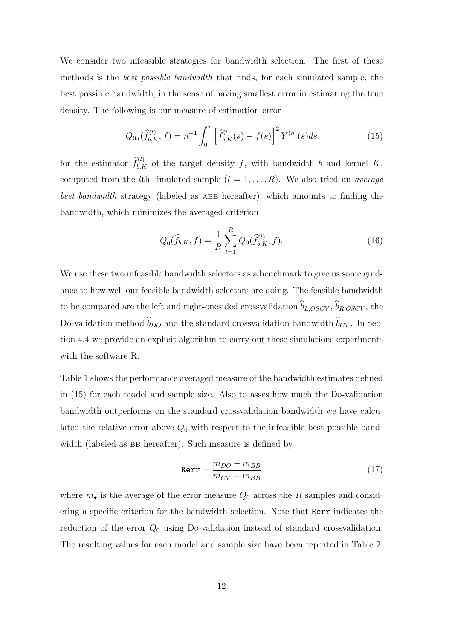We consider two infeasible strategies for bandwidth selection. The first of these methods is the *best possible bandwidth* that finds, for each simulated sample, the best possible bandwidth, in the sense of having smallest error in estimating the true density. The following is our measure of estimation error

$$
Q_{0,l}(\hat{f}_{b,K}^{(l)},f) = n^{-1} \int_0^\tau \left[ \hat{f}_{b,K}^{(l)}(s) - f(s) \right]^2 Y^{(n)}(s)ds \tag{15}
$$

for the estimator  $\widehat{f}_{b,K}^{(l)}$  of the target density f, with bandwidth b and kernel K, computed from the *l*th simulated sample  $(l = 1, \ldots, R)$ . We also tried an *average best bandwidth* strategy (labeled as ABB hereafter), which amounts to finding the bandwidth, which minimizes the averaged criterion

$$
\overline{Q}_0(\widehat{f}_{b,K}, f) = \frac{1}{R} \sum_{l=1}^R Q_0(\widehat{f}_{b,K}^{(l)}, f).
$$
\n(16)

We use these two infeasible bandwidth selectors as a benchmark to give us some guidance to how well our feasible bandwidth selectors are doing. The feasible bandwidth to be compared are the left and right-onesided crossvalidation  $\widehat{b}_{L,OSCV}$ ,  $\widehat{b}_{R,OSCV}$ , the Do-validation method  $\widehat{b}_{DO}$  and the standard crossvalidation bandwidth  $\widehat{b}_{CV}.$  In Section 4.4 we provide an explicit algorithm to carry out these simulations experiments with the software R.

Table 1 shows the performance averaged measure of the bandwidth estimates defined in (15) for each model and sample size. Also to asses how much the Do-validation bandwidth outperforms on the standard crossvalidation bandwidth we have calculated the relative error above  $Q_0$  with respect to the infeasible best possible bandwidth (labeled as BB hereafter). Such measure is defined by

$$
Rerr = \frac{m_{DO} - m_{BB}}{m_{CV} - m_{BB}}\tag{17}
$$

where  $m_{\bullet}$  is the average of the error measure  $Q_0$  across the R samples and considering a specific criterion for the bandwidth selection. Note that Rerr indicates the reduction of the error  $Q_0$  using Do-validation instead of standard crossvalidation. The resulting values for each model and sample size have been reported in Table 2.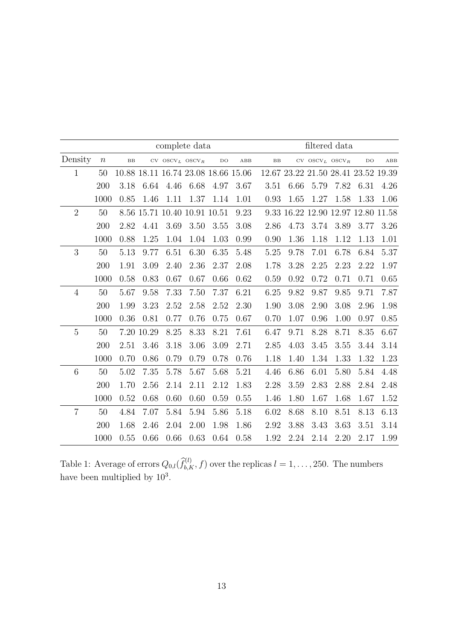|                | complete data    |      |            |                                     | filtered data |             |              |             |      |      |                                             |                                     |      |
|----------------|------------------|------|------------|-------------------------------------|---------------|-------------|--------------|-------------|------|------|---------------------------------------------|-------------------------------------|------|
| Density        | $\boldsymbol{n}$ | BB   |            | $CV$ $OSCV_L$ $OSCV_R$              |               | $_{\rm DO}$ | $_{\rm ABB}$ | $_{\rm BB}$ |      |      | $\hbox{CV}$ $\hbox{OSCV}_L$ $\hbox{OSCV}_R$ | DO                                  | ABB  |
| $\mathbf{1}$   | 50               |      |            | 10.88 18.11 16.74 23.08 18.66 15.06 |               |             |              |             |      |      |                                             | 12.67 23.22 21.50 28.41 23.52 19.39 |      |
|                | 200              | 3.18 | 6.64       | 4.46                                | 6.68          | 4.97        | 3.67         | 3.51        | 6.66 | 5.79 | 7.82                                        | 6.31                                | 4.26 |
|                | 1000             | 0.85 | 1.46       | 1.11                                | 1.37          | 1.14        | 1.01         | 0.93        | 1.65 | 1.27 | 1.58                                        | 1.33                                | 1.06 |
| $\overline{2}$ | 50               |      |            | 8.56 15.71 10.40 10.91 10.51        |               |             | 9.23         |             |      |      |                                             | 9.33 16.22 12.90 12.97 12.80 11.58  |      |
|                | 200              | 2.82 | 4.41       | 3.69                                | 3.50          | 3.55        | 3.08         | 2.86        | 4.73 | 3.74 | 3.89                                        | 3.77                                | 3.26 |
|                | 1000             | 0.88 | 1.25       | 1.04                                | 1.04          | 1.03        | 0.99         | 0.90        | 1.36 | 1.18 | 1.12                                        | 1.13                                | 1.01 |
| 3              | 50               | 5.13 | 9.77       | 6.51                                | 6.30          | 6.35        | 5.48         | 5.25        | 9.78 | 7.01 | 6.78                                        | 6.84                                | 5.37 |
|                | 200              | 1.91 | 3.09       | 2.40                                | 2.36          | 2.37        | 2.08         | 1.78        | 3.28 | 2.25 | 2.23                                        | 2.22                                | 1.97 |
|                | 1000             | 0.58 | 0.83       | 0.67                                | 0.67          | 0.66        | 0.62         | 0.59        | 0.92 | 0.72 | 0.71                                        | 0.71                                | 0.65 |
| $\overline{4}$ | 50               | 5.67 | 9.58       | 7.33                                | 7.50          | 7.37        | 6.21         | 6.25        | 9.82 | 9.87 | 9.85                                        | 9.71                                | 7.87 |
|                | 200              | 1.99 | 3.23       | 2.52                                | 2.58          | 2.52        | 2.30         | 1.90        | 3.08 | 2.90 | 3.08                                        | 2.96                                | 1.98 |
|                | 1000             | 0.36 | 0.81       | 0.77                                | 0.76          | 0.75        | 0.67         | 0.70        | 1.07 | 0.96 | 1.00                                        | 0.97                                | 0.85 |
| $\overline{5}$ | 50               |      | 7.20 10.29 | 8.25                                | 8.33          | 8.21        | 7.61         | 6.47        | 9.71 | 8.28 | 8.71                                        | 8.35                                | 6.67 |
|                | 200              | 2.51 | 3.46       | 3.18                                | 3.06          | $3.09\,$    | 2.71         | 2.85        | 4.03 | 3.45 | 3.55                                        | 3.44                                | 3.14 |
|                | 1000             | 0.70 | 0.86       | 0.79                                | 0.79          | 0.78        | 0.76         | 1.18        | 1.40 | 1.34 | 1.33                                        | 1.32                                | 1.23 |
| $\,6\,$        | 50               | 5.02 | 7.35       | 5.78                                | 5.67          | 5.68        | 5.21         | 4.46        | 6.86 | 6.01 | 5.80                                        | 5.84                                | 4.48 |
|                | 200              | 1.70 | 2.56       | 2.14                                | 2.11          | 2.12        | 1.83         | 2.28        | 3.59 | 2.83 | 2.88                                        | 2.84                                | 2.48 |
|                | 1000             | 0.52 | 0.68       | 0.60                                | 0.60          | 0.59        | 0.55         | 1.46        | 1.80 | 1.67 | 1.68                                        | 1.67                                | 1.52 |
| $\overline{7}$ | 50               | 4.84 | 7.07       | 5.84                                | 5.94          | 5.86        | 5.18         | 6.02        | 8.68 | 8.10 | 8.51                                        | 8.13                                | 6.13 |
|                | 200              | 1.68 | 2.46       | 2.04                                | 2.00          | 1.98        | 1.86         | 2.92        | 3.88 | 3.43 | 3.63                                        | 3.51                                | 3.14 |
|                | 1000             | 0.55 | 0.66       | 0.66                                | 0.63          | 0.64        | 0.58         | 1.92        | 2.24 | 2.14 | 2.20                                        | 2.17                                | 1.99 |

Table 1: Average of errors  $Q_{0,l}(\widehat{f}_{b,K}^{(l)}, f)$  over the replicas  $l = 1, \ldots, 250$ . The numbers have been multiplied by  $10^3$ .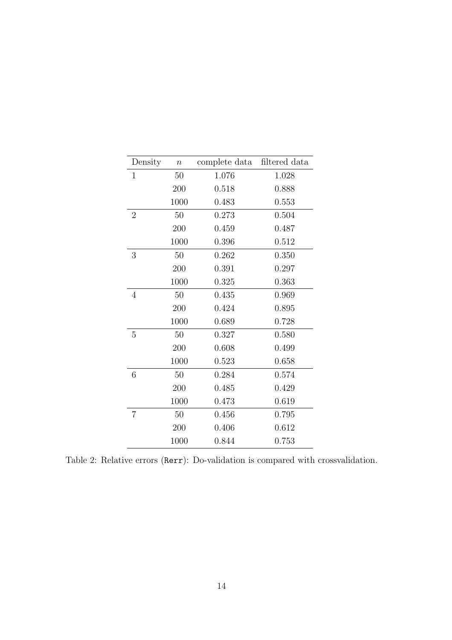| Density        | $\, n$ | complete data | filtered data |
|----------------|--------|---------------|---------------|
| 1              | 50     | 1.076         | 1.028         |
|                | 200    | 0.518         | 0.888         |
|                | 1000   | 0.483         | 0.553         |
| $\overline{2}$ | 50     | 0.273         | 0.504         |
|                | 200    | 0.459         | 0.487         |
|                | 1000   | 0.396         | 0.512         |
| 3              | 50     | 0.262         | 0.350         |
|                | 200    | 0.391         | 0.297         |
|                | 1000   | 0.325         | 0.363         |
| 4              | 50     | 0.435         | 0.969         |
|                | 200    | 0.424         | 0.895         |
|                | 1000   | 0.689         | 0.728         |
| 5              | 50     | 0.327         | 0.580         |
|                | 200    | 0.608         | 0.499         |
|                | 1000   | 0.523         | 0.658         |
| 6              | 50     | 0.284         | 0.574         |
|                | 200    | 0.485         | 0.429         |
|                | 1000   | 0.473         | 0.619         |
| $\overline{7}$ | 50     | 0.456         | 0.795         |
|                | 200    | 0.406         | 0.612         |
|                | 1000   | 0.844         | 0.753         |

Table 2: Relative errors (Rerr): Do-validation is compared with crossvalidation.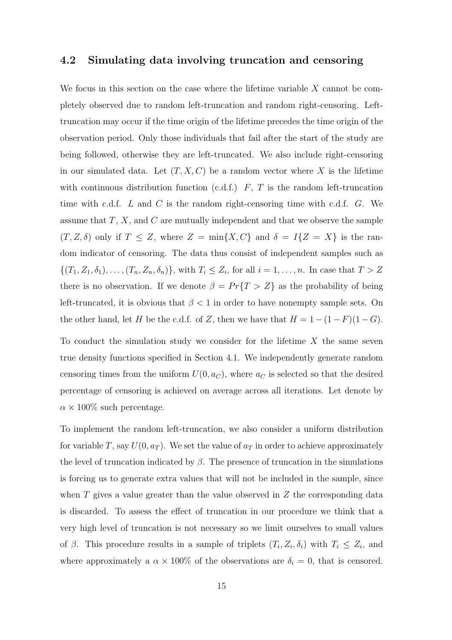#### 4.2 Simulating data involving truncation and censoring

We focus in this section on the case where the lifetime variable  $X$  cannot be completely observed due to random left-truncation and random right-censoring. Lefttruncation may occur if the time origin of the lifetime precedes the time origin of the observation period. Only those individuals that fail after the start of the study are being followed, otherwise they are left-truncated. We also include right-censoring in our simulated data. Let  $(T, X, C)$  be a random vector where X is the lifetime with continuous distribution function (c.d.f.)  $F, T$  is the random left-truncation time with c.d.f.  $L$  and  $C$  is the random right-censoring time with c.d.f.  $G$ . We assume that  $T, X$ , and  $C$  are mutually independent and that we observe the sample  $(T, Z, \delta)$  only if  $T \leq Z$ , where  $Z = \min\{X, C\}$  and  $\delta = I\{Z = X\}$  is the random indicator of censoring. The data thus consist of independent samples such as  $\{(T_1, Z_1, \delta_1), \ldots, (T_n, Z_n, \delta_n)\}\,$  with  $T_i \leq Z_i$ , for all  $i = 1, \ldots, n$ . In case that  $T > Z$ there is no observation. If we denote  $\beta = Pr\{T > Z\}$  as the probability of being left-truncated, it is obvious that  $\beta < 1$  in order to have nonempty sample sets. On the other hand, let H be the c.d.f. of Z, then we have that  $H = 1 - (1 - F)(1 - G)$ .

To conduct the simulation study we consider for the lifetime  $X$  the same seven true density functions specified in Section 4.1. We independently generate random censoring times from the uniform  $U(0, a_C)$ , where  $a_C$  is selected so that the desired percentage of censoring is achieved on average across all iterations. Let denote by  $\alpha \times 100\%$  such percentage.

To implement the random left-truncation, we also consider a uniform distribution for variable T, say  $U(0, a_T)$ . We set the value of  $a_T$  in order to achieve approximately the level of truncation indicated by  $\beta$ . The presence of truncation in the simulations is forcing us to generate extra values that will not be included in the sample, since when  $T$  gives a value greater than the value observed in  $Z$  the corresponding data is discarded. To assess the effect of truncation in our procedure we think that a very high level of truncation is not necessary so we limit ourselves to small values of  $\beta$ . This procedure results in a sample of triplets  $(T_i, Z_i, \delta_i)$  with  $T_i \leq Z_i$ , and where approximately a  $\alpha \times 100\%$  of the observations are  $\delta_i = 0$ , that is censored.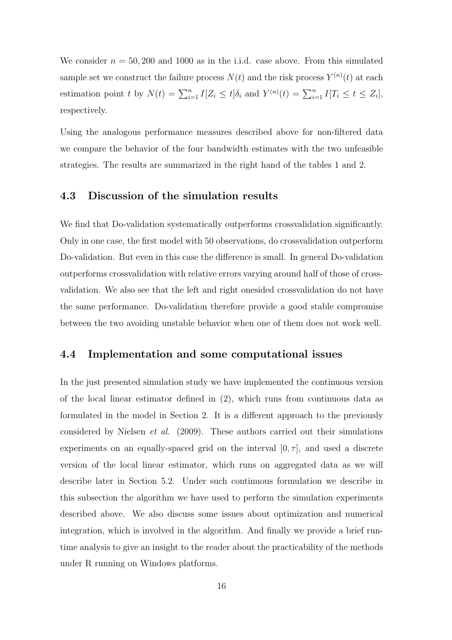We consider  $n = 50,200$  and 1000 as in the i.i.d. case above. From this simulated sample set we construct the failure process  $N(t)$  and the risk process  $Y^{(n)}(t)$  at each estimation point t by  $N(t) = \sum_{i=1}^{n} I[Z_i \le t] \delta_i$  and  $Y^{(n)}(t) = \sum_{i=1}^{n} I[T_i \le t \le Z_i],$ respectively.

Using the analogous performance measures described above for non-filtered data we compare the behavior of the four bandwidth estimates with the two unfeasible strategies. The results are summarized in the right hand of the tables 1 and 2.

#### 4.3 Discussion of the simulation results

We find that Do-validation systematically outperforms crossvalidation significantly. Only in one case, the first model with 50 observations, do crossvalidation outperform Do-validation. But even in this case the difference is small. In general Do-validation outperforms crossvalidation with relative errors varying around half of those of crossvalidation. We also see that the left and right onesided crossvalidation do not have the same performance. Do-validation therefore provide a good stable compromise between the two avoiding unstable behavior when one of them does not work well.

#### 4.4 Implementation and some computational issues

In the just presented simulation study we have implemented the continuous version of the local linear estimator defined in (2), which runs from continuous data as formulated in the model in Section 2. It is a different approach to the previously considered by Nielsen *et al.* (2009). These authors carried out their simulations experiments on an equally-spaced grid on the interval  $[0, \tau]$ , and used a discrete version of the local linear estimator, which runs on aggregated data as we will describe later in Section 5.2. Under such continuous formulation we describe in this subsection the algorithm we have used to perform the simulation experiments described above. We also discuss some issues about optimization and numerical integration, which is involved in the algorithm. And finally we provide a brief runtime analysis to give an insight to the reader about the practicability of the methods under R running on Windows platforms.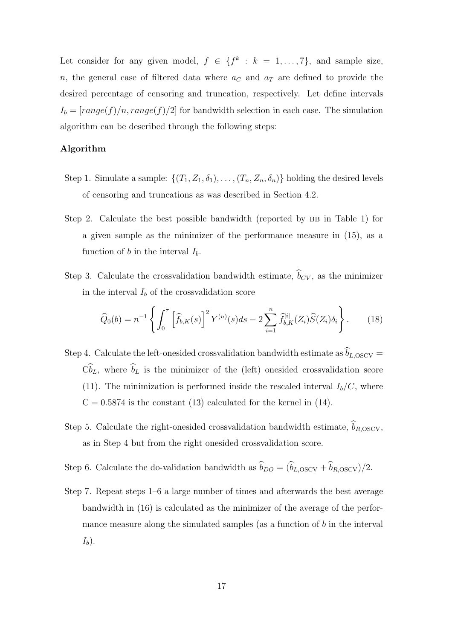Let consider for any given model,  $f \in \{f^k : k = 1, ..., 7\}$ , and sample size, n, the general case of filtered data where  $a<sub>C</sub>$  and  $a<sub>T</sub>$  are defined to provide the desired percentage of censoring and truncation, respectively. Let define intervals  $I_b = [range(f)/n, range(f)/2]$  for bandwidth selection in each case. The simulation algorithm can be described through the following steps:

#### Algorithm

- Step 1. Simulate a sample:  $\{(T_1, Z_1, \delta_1), \ldots, (T_n, Z_n, \delta_n)\}\)$  holding the desired levels of censoring and truncations as was described in Section 4.2.
- Step 2. Calculate the best possible bandwidth (reported by  $BB$  in Table 1) for a given sample as the minimizer of the performance measure in (15), as a function of b in the interval  $I<sub>b</sub>$ .
- Step 3. Calculate the crossvalidation bandwidth estimate,  $\hat{b}_{CV}$ , as the minimizer in the interval  $I_b$  of the crossvalidation score

$$
\widehat{Q}_0(b) = n^{-1} \left\{ \int_0^{\tau} \left[ \widehat{f}_{b,K}(s) \right]^2 Y^{(n)}(s) ds - 2 \sum_{i=1}^n \widehat{f}_{b,K}^{[i]}(Z_i) \widehat{S}(Z_i) \delta_i \right\}.
$$
 (18)

- Step 4. Calculate the left-onesided crossvalidation bandwidth estimate as  $\hat{b}_{L,OSCV} =$  $\widehat{\mathbb{C}}_{L}$ , where  $\widehat{b}_{L}$  is the minimizer of the (left) onesided crossvalidation score (11). The minimization is performed inside the rescaled interval  $I_b/C$ , where  $C = 0.5874$  is the constant (13) calculated for the kernel in (14).
- Step 5. Calculate the right-onesided crossvalidation bandwidth estimate,  $\widehat{b}_{R,OSCV}$ , as in Step 4 but from the right onesided crossvalidation score.
- Step 6. Calculate the do-validation bandwidth as  $\hat{b}_{DO} = (\hat{b}_{L,OSCV} + \hat{b}_{R,OSCV})/2$ .
- Step 7. Repeat steps 1–6 a large number of times and afterwards the best average bandwidth in (16) is calculated as the minimizer of the average of the performance measure along the simulated samples (as a function of  $b$  in the interval  $I_b$ ).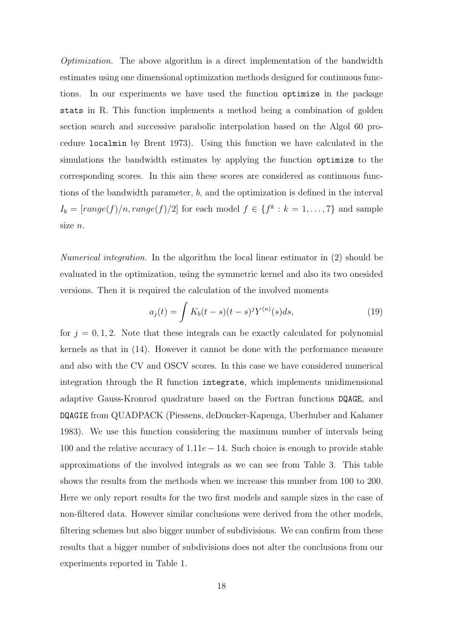*Optimization.* The above algorithm is a direct implementation of the bandwidth estimates using one dimensional optimization methods designed for continuous functions. In our experiments we have used the function optimize in the package stats in R. This function implements a method being a combination of golden section search and successive parabolic interpolation based on the Algol 60 procedure localmin by Brent 1973). Using this function we have calculated in the simulations the bandwidth estimates by applying the function optimize to the corresponding scores. In this aim these scores are considered as continuous functions of the bandwidth parameter, b, and the optimization is defined in the interval  $I_b = [range(f)/n, range(f)/2]$  for each model  $f \in \{f^k : k = 1, ..., 7\}$  and sample size n.

*Numerical integration.* In the algorithm the local linear estimator in (2) should be evaluated in the optimization, using the symmetric kernel and also its two onesided versions. Then it is required the calculation of the involved moments

$$
a_j(t) = \int K_b(t-s)(t-s)^j Y^{(n)}(s)ds,
$$
\n(19)

for  $j = 0, 1, 2$ . Note that these integrals can be exactly calculated for polynomial kernels as that in (14). However it cannot be done with the performance measure and also with the CV and OSCV scores. In this case we have considered numerical integration through the R function integrate, which implements unidimensional adaptive Gauss-Kronrod quadrature based on the Fortran functions DQAGE, and DQAGIE from QUADPACK (Piessens, deDoncker-Kapenga, Uberhuber and Kahaner 1983). We use this function considering the maximum number of intervals being 100 and the relative accuracy of  $1.11e - 14$ . Such choice is enough to provide stable approximations of the involved integrals as we can see from Table 3. This table shows the results from the methods when we increase this number from 100 to 200. Here we only report results for the two first models and sample sizes in the case of non-filtered data. However similar conclusions were derived from the other models, filtering schemes but also bigger number of subdivisions. We can confirm from these results that a bigger number of subdivisions does not alter the conclusions from our experiments reported in Table 1.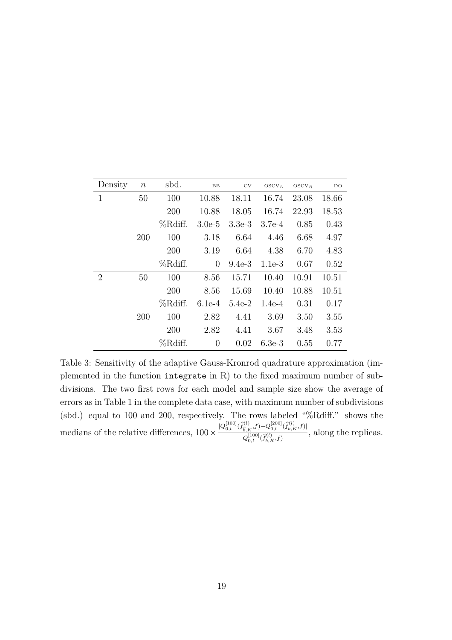| Density        | $\, n$ | sbd.    | $_{\rm BB}$ | $_{\rm CV}$ | $\mathrm{OSCV}_L$ | $OSCV_R$ | DO    |
|----------------|--------|---------|-------------|-------------|-------------------|----------|-------|
| 1              | 50     | 100     | 10.88       | 18.11       | 16.74             | 23.08    | 18.66 |
|                |        | 200     | 10.88       | 18.05       | 16.74             | 22.93    | 18.53 |
|                |        | %Rdiff. | $3.0e-5$    | $3.3e-3$    | $3.7e-4$          | 0.85     | 0.43  |
|                | 200    | 100     | 3.18        | 6.64        | 4.46              | 6.68     | 4.97  |
|                |        | 200     | 3.19        | 6.64        | 4.38              | 6.70     | 4.83  |
|                |        | %Rdiff. | 0           | $9.4e-3$    | $1.1e-3$          | 0.67     | 0.52  |
| $\overline{2}$ | 50     | 100     | 8.56        | 15.71       | 10.40             | 10.91    | 10.51 |
|                |        | 200     | 8.56        | 15.69       | 10.40             | 10.88    | 10.51 |
|                |        | %Rdiff. | $6.1e-4$    | $5.4e-2$    | $1.4e-4$          | 0.31     | 0.17  |
|                | 200    | 100     | 2.82        | 4.41        | 3.69              | 3.50     | 3.55  |
|                |        | 200     | 2.82        | 4.41        | 3.67              | 3.48     | 3.53  |
|                |        | %Rdiff. | 0           | 0.02        | $6.3e-3$          | 0.55     | 0.77  |

Table 3: Sensitivity of the adaptive Gauss-Kronrod quadrature approximation (implemented in the function integrate in R) to the fixed maximum number of subdivisions. The two first rows for each model and sample size show the average of errors as in Table 1 in the complete data case, with maximum number of subdivisions (sbd.) equal to 100 and 200, respectively. The rows labeled "%Rdiff." shows the medians of the relative differences,  $100 \times \frac{|Q_{0,l}^{[100]}(\hat{f}_{\hat{b},K}^{(l)},f)-Q_{0,l}^{[200]}(\hat{f}_{b,K}^{(l)},f)|}{Q_{0,l}^{[100]}/\hat{f}_{\hat{b},K}^{(l)},f}}$  $Q_{0,l}^{[100]}(\widetilde{f}_{b,K}^{(l)},f)$ , along the replicas.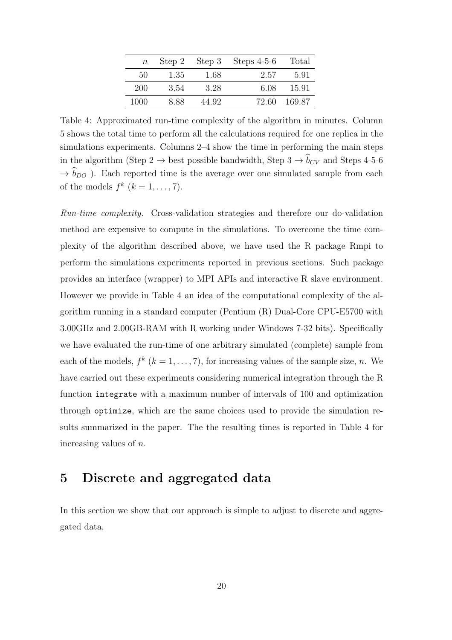| $\boldsymbol{n}$ |      |       | Step 2 Step 3 Steps $4-5-6$ | Total    |
|------------------|------|-------|-----------------------------|----------|
| 50               | 1.35 | -1.68 | 2.57                        | 591      |
| 200              | 3.54 | 3.28  | 6.08                        | 15.91    |
| 1000             | 8.88 | 44.92 | 72.60                       | - 169.87 |

Table 4: Approximated run-time complexity of the algorithm in minutes. Column 5 shows the total time to perform all the calculations required for one replica in the simulations experiments. Columns 2–4 show the time in performing the main steps in the algorithm (Step 2  $\rightarrow$  best possible bandwidth, Step 3  $\rightarrow \hat{b}_{CV}$  and Steps 4-5-6  $\rightarrow \hat{b}_{DO}$ ). Each reported time is the average over one simulated sample from each of the models  $f^k$   $(k = 1, \ldots, 7)$ .

*Run-time complexity.* Cross-validation strategies and therefore our do-validation method are expensive to compute in the simulations. To overcome the time complexity of the algorithm described above, we have used the R package Rmpi to perform the simulations experiments reported in previous sections. Such package provides an interface (wrapper) to MPI APIs and interactive R slave environment. However we provide in Table 4 an idea of the computational complexity of the algorithm running in a standard computer (Pentium (R) Dual-Core CPU-E5700 with 3.00GHz and 2.00GB-RAM with R working under Windows 7-32 bits). Specifically we have evaluated the run-time of one arbitrary simulated (complete) sample from each of the models,  $f^k$   $(k = 1, ..., 7)$ , for increasing values of the sample size, *n*. We have carried out these experiments considering numerical integration through the R function integrate with a maximum number of intervals of 100 and optimization through optimize, which are the same choices used to provide the simulation results summarized in the paper. The the resulting times is reported in Table 4 for increasing values of n.

## 5 Discrete and aggregated data

In this section we show that our approach is simple to adjust to discrete and aggregated data.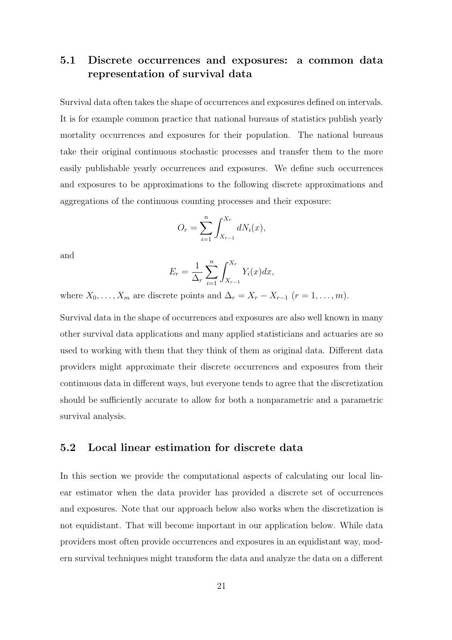## 5.1 Discrete occurrences and exposures: a common data representation of survival data

Survival data often takes the shape of occurrences and exposures defined on intervals. It is for example common practice that national bureaus of statistics publish yearly mortality occurrences and exposures for their population. The national bureaus take their original continuous stochastic processes and transfer them to the more easily publishable yearly occurrences and exposures. We define such occurrences and exposures to be approximations to the following discrete approximations and aggregations of the continuous counting processes and their exposure:

$$
O_r = \sum_{i=1}^n \int_{X_{r-1}}^{X_r} dN_i(x),
$$

and

$$
E_r = \frac{1}{\Delta_r} \sum_{i=1}^n \int_{X_{r-1}}^{X_r} Y_i(x) dx,
$$

where  $X_0, \ldots, X_m$  are discrete points and  $\Delta_r = X_r - X_{r-1}$   $(r = 1, \ldots, m)$ .

Survival data in the shape of occurrences and exposures are also well known in many other survival data applications and many applied statisticians and actuaries are so used to working with them that they think of them as original data. Different data providers might approximate their discrete occurrences and exposures from their continuous data in different ways, but everyone tends to agree that the discretization should be sufficiently accurate to allow for both a nonparametric and a parametric survival analysis.

#### 5.2 Local linear estimation for discrete data

In this section we provide the computational aspects of calculating our local linear estimator when the data provider has provided a discrete set of occurrences and exposures. Note that our approach below also works when the discretization is not equidistant. That will become important in our application below. While data providers most often provide occurrences and exposures in an equidistant way, modern survival techniques might transform the data and analyze the data on a different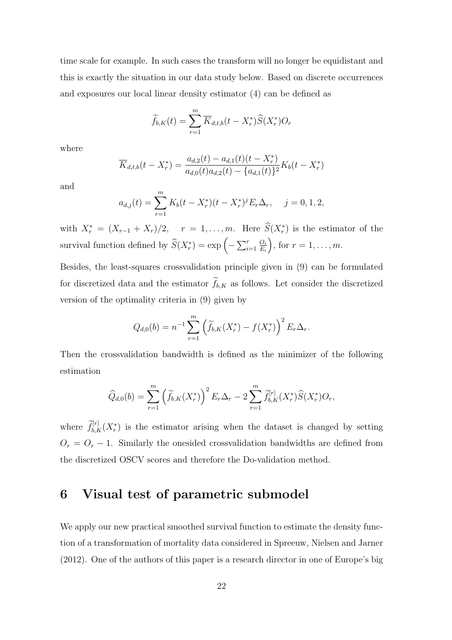time scale for example. In such cases the transform will no longer be equidistant and this is exactly the situation in our data study below. Based on discrete occurrences and exposures our local linear density estimator (4) can be defined as

$$
\widetilde{f}_{b,K}(t) = \sum_{r=1}^{m} \overline{K}_{d,t,b}(t - X_r^*) \widehat{S}(X_r^*) O_r
$$

where

$$
\overline{K}_{d,t,b}(t-X_r^*) = \frac{a_{d,2}(t) - a_{d,1}(t)(t-X_r^*)}{a_{d,0}(t)a_{d,2}(t) - \{a_{d,1}(t)\}^2}K_b(t-X_r^*)
$$

and

$$
a_{d,j}(t) = \sum_{r=1}^{m} K_b(t - X_r^*)(t - X_r^*)^j E_r \Delta_r, \quad j = 0, 1, 2,
$$

with  $X_r^* = (X_{r-1} + X_r)/2$ ,  $r = 1, ..., m$ . Here  $\hat{S}(X_r^*)$  is the estimator of the survival function defined by  $\widehat{S}(X_r^*) = \exp\left(-\sum_{i=1}^r \frac{O_i}{E_i}\right)$  $E_i$ ), for  $r = 1, \ldots, m$ .

Besides, the least-squares crossvalidation principle given in (9) can be formulated for discretized data and the estimator  $\widetilde{f}_{b,K}$  as follows. Let consider the discretized version of the optimality criteria in (9) given by

$$
Q_{d,0}(b) = n^{-1} \sum_{r=1}^{m} \left( \widetilde{f}_{b,K}(X_r^*) - f(X_r^*) \right)^2 E_r \Delta_r.
$$

Then the crossvalidation bandwidth is defined as the minimizer of the following estimation

$$
\widehat{Q}_{d,0}(b) = \sum_{r=1}^{m} \left( \widetilde{f}_{b,K}(X_r^*) \right)^2 E_r \Delta_r - 2 \sum_{r=1}^{m} \widetilde{f}_{b,K}^{[r]}(X_r^*) \widehat{S}(X_r^*) O_r,
$$

where  $\tilde{f}_{b,K}^{[r]}(X_r^*)$  is the estimator arising when the dataset is changed by setting  $O_r = O_r - 1$ . Similarly the onesided crossvalidation bandwidths are defined from the discretized OSCV scores and therefore the Do-validation method.

## 6 Visual test of parametric submodel

We apply our new practical smoothed survival function to estimate the density function of a transformation of mortality data considered in Spreeuw, Nielsen and Jarner (2012). One of the authors of this paper is a research director in one of Europe's big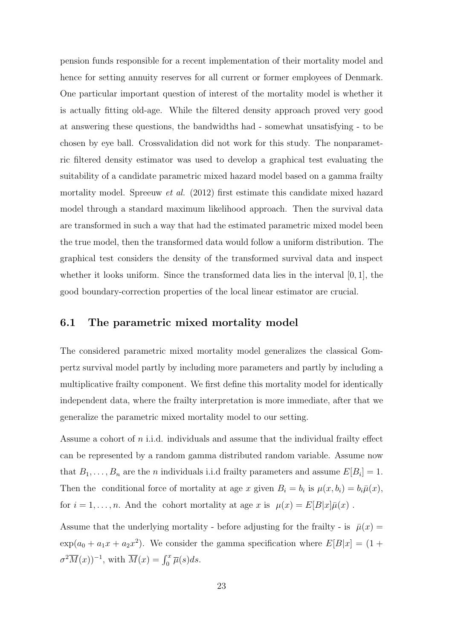pension funds responsible for a recent implementation of their mortality model and hence for setting annuity reserves for all current or former employees of Denmark. One particular important question of interest of the mortality model is whether it is actually fitting old-age. While the filtered density approach proved very good at answering these questions, the bandwidths had - somewhat unsatisfying - to be chosen by eye ball. Crossvalidation did not work for this study. The nonparametric filtered density estimator was used to develop a graphical test evaluating the suitability of a candidate parametric mixed hazard model based on a gamma frailty mortality model. Spreeuw *et al.* (2012) first estimate this candidate mixed hazard model through a standard maximum likelihood approach. Then the survival data are transformed in such a way that had the estimated parametric mixed model been the true model, then the transformed data would follow a uniform distribution. The graphical test considers the density of the transformed survival data and inspect whether it looks uniform. Since the transformed data lies in the interval [0, 1], the good boundary-correction properties of the local linear estimator are crucial.

#### 6.1 The parametric mixed mortality model

The considered parametric mixed mortality model generalizes the classical Gompertz survival model partly by including more parameters and partly by including a multiplicative frailty component. We first define this mortality model for identically independent data, where the frailty interpretation is more immediate, after that we generalize the parametric mixed mortality model to our setting.

Assume a cohort of  $n$  i.i.d. individuals and assume that the individual frailty effect can be represented by a random gamma distributed random variable. Assume now that  $B_1, \ldots, B_n$  are the *n* individuals i.i.d frailty parameters and assume  $E[B_i] = 1$ . Then the conditional force of mortality at age x given  $B_i = b_i$  is  $\mu(x, b_i) = b_i \bar{\mu}(x)$ , for  $i = 1, ..., n$ . And the cohort mortality at age x is  $\mu(x) = E[B|x]\bar{\mu}(x)$ .

Assume that the underlying mortality - before adjusting for the frailty - is  $\bar{\mu}(x) =$  $\exp(a_0 + a_1x + a_2x^2)$ . We consider the gamma specification where  $E[B|x] = (1 +$  $\sigma^2 \overline{M}(x)$ <sup>-1</sup>, with  $\overline{M}(x) = \int_0^x \overline{\mu}(s) ds$ .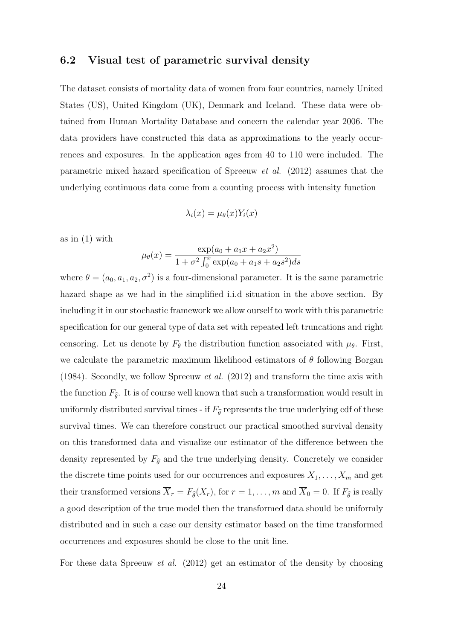#### 6.2 Visual test of parametric survival density

The dataset consists of mortality data of women from four countries, namely United States (US), United Kingdom (UK), Denmark and Iceland. These data were obtained from Human Mortality Database and concern the calendar year 2006. The data providers have constructed this data as approximations to the yearly occurrences and exposures. In the application ages from 40 to 110 were included. The parametric mixed hazard specification of Spreeuw *et al.* (2012) assumes that the underlying continuous data come from a counting process with intensity function

$$
\lambda_i(x) = \mu_{\theta}(x) Y_i(x)
$$

as in (1) with

$$
\mu_{\theta}(x) = \frac{\exp(a_0 + a_1x + a_2x^2)}{1 + \sigma^2 \int_0^x \exp(a_0 + a_1s + a_2s^2)ds}
$$

where  $\theta = (a_0, a_1, a_2, \sigma^2)$  is a four-dimensional parameter. It is the same parametric hazard shape as we had in the simplified i.i.d situation in the above section. By including it in our stochastic framework we allow ourself to work with this parametric specification for our general type of data set with repeated left truncations and right censoring. Let us denote by  $F_{\theta}$  the distribution function associated with  $\mu_{\theta}$ . First, we calculate the parametric maximum likelihood estimators of  $\theta$  following Borgan (1984). Secondly, we follow Spreeuw *et al.* (2012) and transform the time axis with the function  $F_{\hat{\theta}}$ . It is of course well known that such a transformation would result in uniformly distributed survival times - if  $F_{\hat{\theta}}$  represents the true underlying cdf of these survival times. We can therefore construct our practical smoothed survival density on this transformed data and visualize our estimator of the difference between the density represented by  $F_{\hat{\theta}}$  and the true underlying density. Concretely we consider the discrete time points used for our occurrences and exposures  $X_1, \ldots, X_m$  and get their transformed versions  $\overline{X}_r = F_{\widehat{\theta}}(X_r)$ , for  $r = 1, ..., m$  and  $\overline{X}_0 = 0$ . If  $F_{\widehat{\theta}}$  is really a good description of the true model then the transformed data should be uniformly distributed and in such a case our density estimator based on the time transformed occurrences and exposures should be close to the unit line.

For these data Spreeuw *et al.* (2012) get an estimator of the density by choosing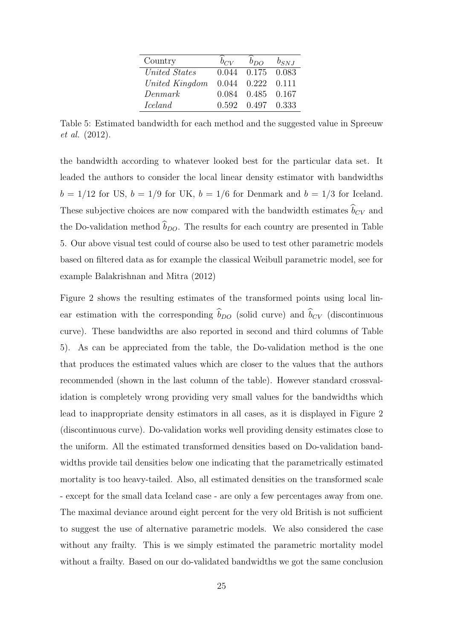| Country        | $b_{CV}$ | $b_{DO}$                | $b_{SNJ}$ |
|----------------|----------|-------------------------|-----------|
| United States  |          | $0.044$ $0.175$ $0.083$ |           |
| United Kingdom |          | $0.044$ $0.222$ $0.111$ |           |
| Denmark        |          | 0.084  0.485  0.167     |           |
| <i>Iceland</i> |          | $0.592$ $0.497$ $0.333$ |           |

Table 5: Estimated bandwidth for each method and the suggested value in Spreeuw *et al.* (2012).

the bandwidth according to whatever looked best for the particular data set. It leaded the authors to consider the local linear density estimator with bandwidths  $b = 1/12$  for US,  $b = 1/9$  for UK,  $b = 1/6$  for Denmark and  $b = 1/3$  for Iceland. These subjective choices are now compared with the bandwidth estimates  $\widehat{b}_{CV}$  and the Do-validation method  $\widehat{b}_{DO}$ . The results for each country are presented in Table 5. Our above visual test could of course also be used to test other parametric models based on filtered data as for example the classical Weibull parametric model, see for example Balakrishnan and Mitra (2012)

Figure 2 shows the resulting estimates of the transformed points using local linear estimation with the corresponding  $\widehat{b}_{DO}$  (solid curve) and  $\widehat{b}_{CV}$  (discontinuous curve). These bandwidths are also reported in second and third columns of Table 5). As can be appreciated from the table, the Do-validation method is the one that produces the estimated values which are closer to the values that the authors recommended (shown in the last column of the table). However standard crossvalidation is completely wrong providing very small values for the bandwidths which lead to inappropriate density estimators in all cases, as it is displayed in Figure 2 (discontinuous curve). Do-validation works well providing density estimates close to the uniform. All the estimated transformed densities based on Do-validation bandwidths provide tail densities below one indicating that the parametrically estimated mortality is too heavy-tailed. Also, all estimated densities on the transformed scale - except for the small data Iceland case - are only a few percentages away from one. The maximal deviance around eight percent for the very old British is not sufficient to suggest the use of alternative parametric models. We also considered the case without any frailty. This is we simply estimated the parametric mortality model without a frailty. Based on our do-validated bandwidths we got the same conclusion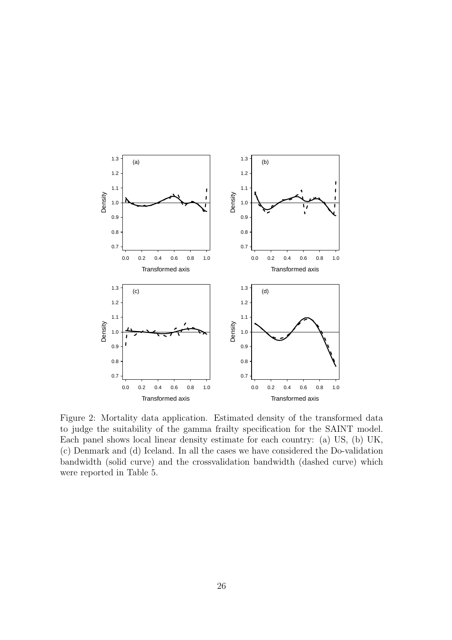

Figure 2: Mortality data application. Estimated density of the transformed data to judge the suitability of the gamma frailty specification for the SAINT model. Each panel shows local linear density estimate for each country: (a) US, (b) UK, (c) Denmark and (d) Iceland. In all the cases we have considered the Do-validation bandwidth (solid curve) and the crossvalidation bandwidth (dashed curve) which were reported in Table 5.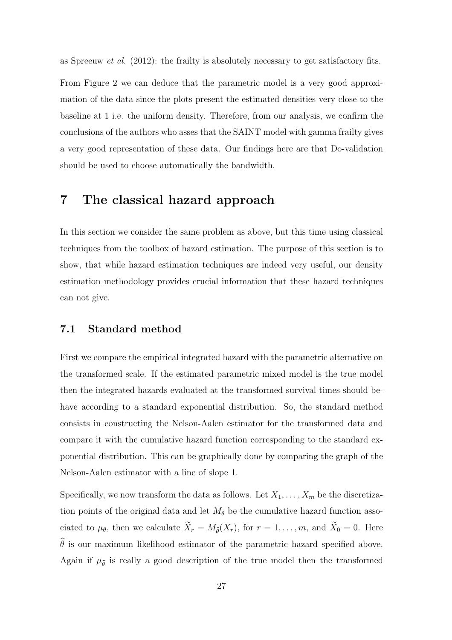as Spreeuw *et al.* (2012): the frailty is absolutely necessary to get satisfactory fits.

From Figure 2 we can deduce that the parametric model is a very good approximation of the data since the plots present the estimated densities very close to the baseline at 1 i.e. the uniform density. Therefore, from our analysis, we confirm the conclusions of the authors who asses that the SAINT model with gamma frailty gives a very good representation of these data. Our findings here are that Do-validation should be used to choose automatically the bandwidth.

## 7 The classical hazard approach

In this section we consider the same problem as above, but this time using classical techniques from the toolbox of hazard estimation. The purpose of this section is to show, that while hazard estimation techniques are indeed very useful, our density estimation methodology provides crucial information that these hazard techniques can not give.

#### 7.1 Standard method

First we compare the empirical integrated hazard with the parametric alternative on the transformed scale. If the estimated parametric mixed model is the true model then the integrated hazards evaluated at the transformed survival times should behave according to a standard exponential distribution. So, the standard method consists in constructing the Nelson-Aalen estimator for the transformed data and compare it with the cumulative hazard function corresponding to the standard exponential distribution. This can be graphically done by comparing the graph of the Nelson-Aalen estimator with a line of slope 1.

Specifically, we now transform the data as follows. Let  $X_1, \ldots, X_m$  be the discretization points of the original data and let  $M_{\theta}$  be the cumulative hazard function associated to  $\mu_{\theta}$ , then we calculate  $\widetilde{X}_r = M_{\widehat{\theta}}(X_r)$ , for  $r = 1, \ldots, m$ , and  $\widetilde{X}_0 = 0$ . Here  $\widehat{\theta}$  is our maximum likelihood estimator of the parametric hazard specified above. Again if  $\mu_{\hat{\theta}}$  is really a good description of the true model then the transformed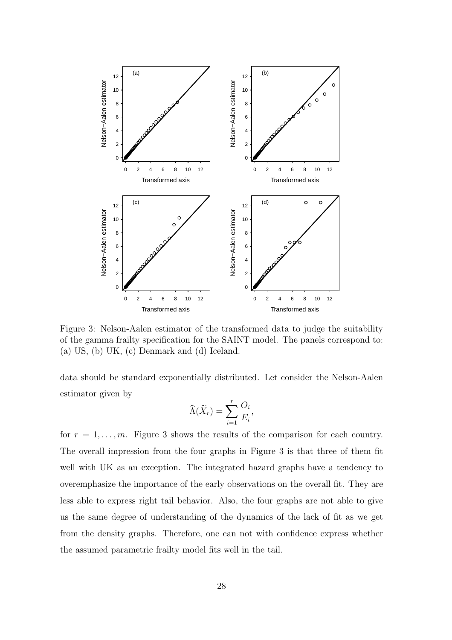

Figure 3: Nelson-Aalen estimator of the transformed data to judge the suitability of the gamma frailty specification for the SAINT model. The panels correspond to: (a) US, (b) UK, (c) Denmark and (d) Iceland.

data should be standard exponentially distributed. Let consider the Nelson-Aalen estimator given by

$$
\widehat{\Lambda}(\widetilde{X}_r) = \sum_{i=1}^r \frac{O_i}{E_i},
$$

for  $r = 1, \ldots, m$ . Figure 3 shows the results of the comparison for each country. The overall impression from the four graphs in Figure 3 is that three of them fit well with UK as an exception. The integrated hazard graphs have a tendency to overemphasize the importance of the early observations on the overall fit. They are less able to express right tail behavior. Also, the four graphs are not able to give us the same degree of understanding of the dynamics of the lack of fit as we get from the density graphs. Therefore, one can not with confidence express whether the assumed parametric frailty model fits well in the tail.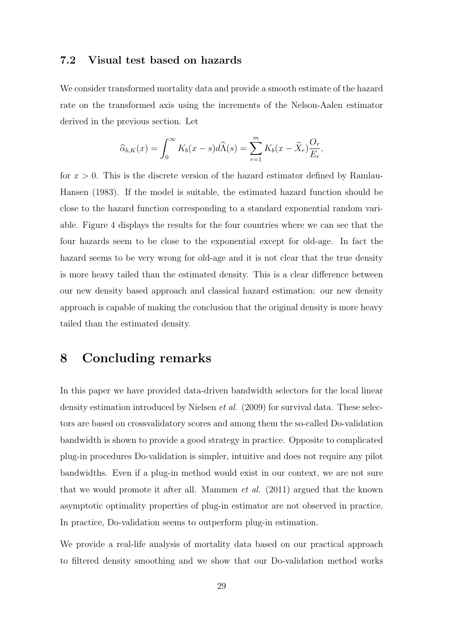#### 7.2 Visual test based on hazards

We consider transformed mortality data and provide a smooth estimate of the hazard rate on the transformed axis using the increments of the Nelson-Aalen estimator derived in the previous section. Let

$$
\widehat{\alpha}_{b,K}(x) = \int_0^\infty K_b(x-s)d\widehat{\Lambda}(s) = \sum_{r=1}^m K_b(x-\widetilde{X}_r)\frac{O_r}{E_r},
$$

for  $x > 0$ . This is the discrete version of the hazard estimator defined by Ramlau-Hansen (1983). If the model is suitable, the estimated hazard function should be close to the hazard function corresponding to a standard exponential random variable. Figure 4 displays the results for the four countries where we can see that the four hazards seem to be close to the exponential except for old-age. In fact the hazard seems to be very wrong for old-age and it is not clear that the true density is more heavy tailed than the estimated density. This is a clear difference between our new density based approach and classical hazard estimation: our new density approach is capable of making the conclusion that the original density is more heavy tailed than the estimated density.

## 8 Concluding remarks

In this paper we have provided data-driven bandwidth selectors for the local linear density estimation introduced by Nielsen *et al.* (2009) for survival data. These selectors are based on crossvalidatory scores and among them the so-called Do-validation bandwidth is shown to provide a good strategy in practice. Opposite to complicated plug-in procedures Do-validation is simpler, intuitive and does not require any pilot bandwidths. Even if a plug-in method would exist in our context, we are not sure that we would promote it after all. Mammen *et al.* (2011) argued that the known asymptotic optimality properties of plug-in estimator are not observed in practice. In practice, Do-validation seems to outperform plug-in estimation.

We provide a real-life analysis of mortality data based on our practical approach to filtered density smoothing and we show that our Do-validation method works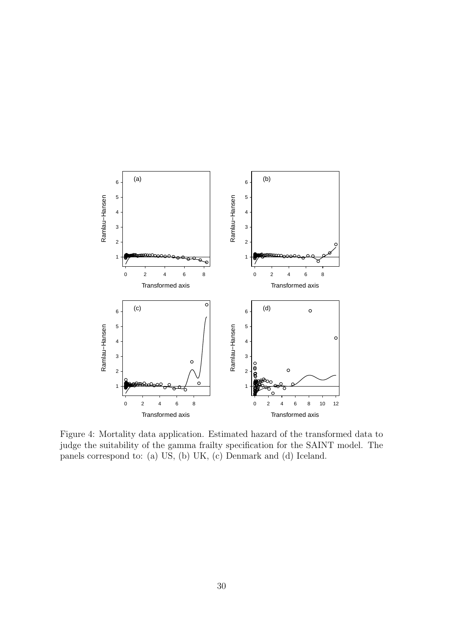

Figure 4: Mortality data application. Estimated hazard of the transformed data to judge the suitability of the gamma frailty specification for the SAINT model. The panels correspond to: (a) US, (b) UK, (c) Denmark and (d) Iceland.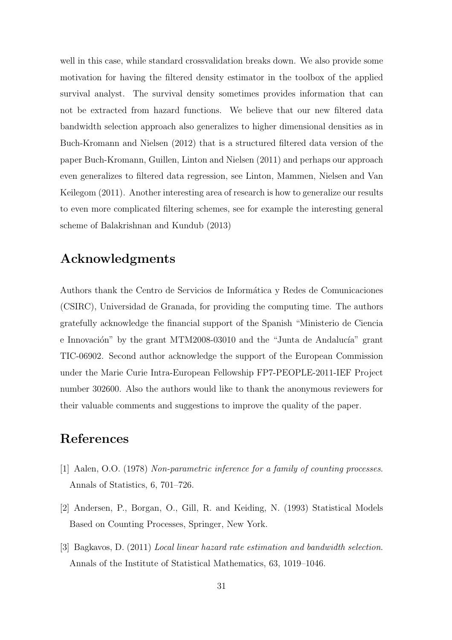well in this case, while standard crossvalidation breaks down. We also provide some motivation for having the filtered density estimator in the toolbox of the applied survival analyst. The survival density sometimes provides information that can not be extracted from hazard functions. We believe that our new filtered data bandwidth selection approach also generalizes to higher dimensional densities as in Buch-Kromann and Nielsen (2012) that is a structured filtered data version of the paper Buch-Kromann, Guillen, Linton and Nielsen (2011) and perhaps our approach even generalizes to filtered data regression, see Linton, Mammen, Nielsen and Van Keilegom (2011). Another interesting area of research is how to generalize our results to even more complicated filtering schemes, see for example the interesting general scheme of Balakrishnan and Kundub (2013)

## Acknowledgments

Authors thank the Centro de Servicios de Informática y Redes de Comunicaciones (CSIRC), Universidad de Granada, for providing the computing time. The authors gratefully acknowledge the financial support of the Spanish "Ministerio de Ciencia e Innovación" by the grant MTM2008-03010 and the "Junta de Andalucía" grant TIC-06902. Second author acknowledge the support of the European Commission under the Marie Curie Intra-European Fellowship FP7-PEOPLE-2011-IEF Project number 302600. Also the authors would like to thank the anonymous reviewers for their valuable comments and suggestions to improve the quality of the paper.

## References

- [1] Aalen, O.O. (1978) *Non-parametric inference for a family of counting processes*. Annals of Statistics, 6, 701–726.
- [2] Andersen, P., Borgan, O., Gill, R. and Keiding, N. (1993) Statistical Models Based on Counting Processes, Springer, New York.
- [3] Bagkavos, D. (2011) *Local linear hazard rate estimation and bandwidth selection*. Annals of the Institute of Statistical Mathematics, 63, 1019–1046.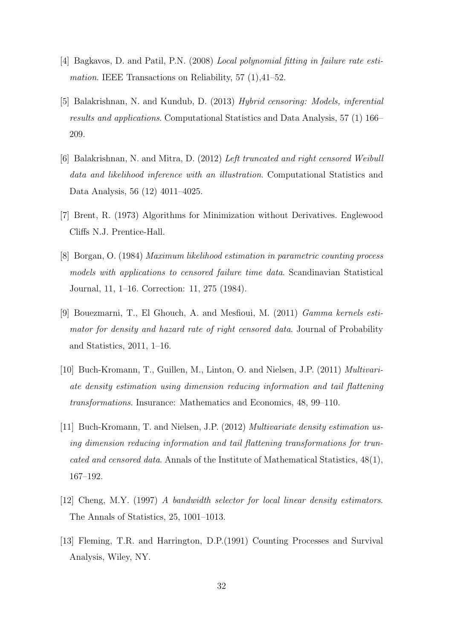- [4] Bagkavos, D. and Patil, P.N. (2008) *Local polynomial fitting in failure rate estimation*. IEEE Transactions on Reliability, 57 (1),41–52.
- [5] Balakrishnan, N. and Kundub, D. (2013) *Hybrid censoring: Models, inferential results and applications*. Computational Statistics and Data Analysis, 57 (1) 166– 209.
- [6] Balakrishnan, N. and Mitra, D. (2012) *Left truncated and right censored Weibull data and likelihood inference with an illustration*. Computational Statistics and Data Analysis, 56 (12) 4011–4025.
- [7] Brent, R. (1973) Algorithms for Minimization without Derivatives. Englewood Cliffs N.J. Prentice-Hall.
- [8] Borgan, O. (1984) *Maximum likelihood estimation in parametric counting process models with applications to censored failure time data*. Scandinavian Statistical Journal, 11, 1–16. Correction: 11, 275 (1984).
- [9] Bouezmarni, T., El Ghouch, A. and Mesfioui, M. (2011) *Gamma kernels estimator for density and hazard rate of right censored data*. Journal of Probability and Statistics, 2011, 1–16.
- [10] Buch-Kromann, T., Guillen, M., Linton, O. and Nielsen, J.P. (2011) *Multivariate density estimation using dimension reducing information and tail flattening transformations*. Insurance: Mathematics and Economics, 48, 99–110.
- [11] Buch-Kromann, T. and Nielsen, J.P. (2012) *Multivariate density estimation using dimension reducing information and tail flattening transformations for truncated and censored data*. Annals of the Institute of Mathematical Statistics, 48(1), 167–192.
- [12] Cheng, M.Y. (1997) *A bandwidth selector for local linear density estimators*. The Annals of Statistics, 25, 1001–1013.
- [13] Fleming, T.R. and Harrington, D.P.(1991) Counting Processes and Survival Analysis, Wiley, NY.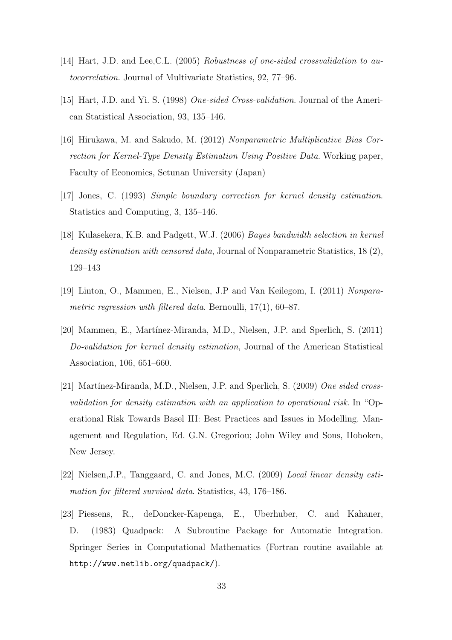- [14] Hart, J.D. and Lee,C.L. (2005) *Robustness of one-sided crossvalidation to autocorrelation*. Journal of Multivariate Statistics, 92, 77–96.
- [15] Hart, J.D. and Yi. S. (1998) *One-sided Cross-validation*. Journal of the American Statistical Association, 93, 135–146.
- [16] Hirukawa, M. and Sakudo, M. (2012) *Nonparametric Multiplicative Bias Correction for Kernel-Type Density Estimation Using Positive Data*. Working paper, Faculty of Economics, Setunan University (Japan)
- [17] Jones, C. (1993) *Simple boundary correction for kernel density estimation*. Statistics and Computing, 3, 135–146.
- [18] Kulasekera, K.B. and Padgett, W.J. (2006) *Bayes bandwidth selection in kernel density estimation with censored data*, Journal of Nonparametric Statistics, 18 (2), 129–143
- [19] Linton, O., Mammen, E., Nielsen, J.P and Van Keilegom, I. (2011) *Nonparametric regression with filtered data*. Bernoulli, 17(1), 60–87.
- [20] Mammen, E., Martínez-Miranda, M.D., Nielsen, J.P. and Sperlich, S. (2011) *Do-validation for kernel density estimation*, Journal of the American Statistical Association, 106, 651–660.
- [21] Martínez-Miranda, M.D., Nielsen, J.P. and Sperlich, S. (2009) One sided cross*validation for density estimation with an application to operational risk*. In "Operational Risk Towards Basel III: Best Practices and Issues in Modelling. Management and Regulation, Ed. G.N. Gregoriou; John Wiley and Sons, Hoboken, New Jersey.
- [22] Nielsen,J.P., Tanggaard, C. and Jones, M.C. (2009) *Local linear density estimation for filtered survival data*. Statistics, 43, 176–186.
- [23] Piessens, R., deDoncker-Kapenga, E., Uberhuber, C. and Kahaner, D. (1983) Quadpack: A Subroutine Package for Automatic Integration. Springer Series in Computational Mathematics (Fortran routine available at http://www.netlib.org/quadpack/).